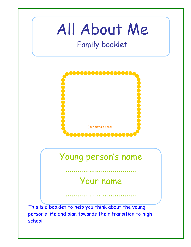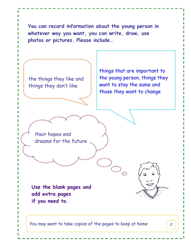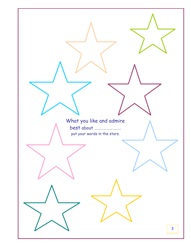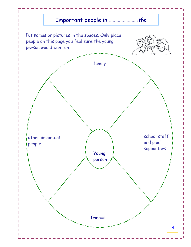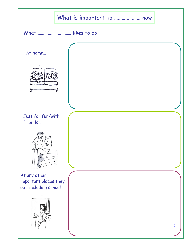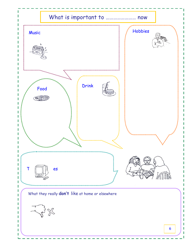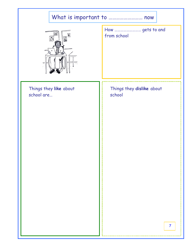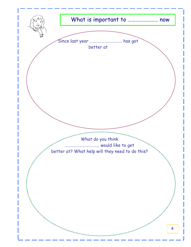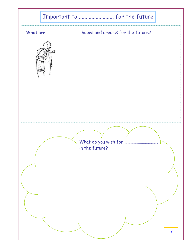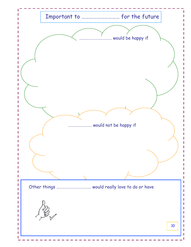![](_page_9_Figure_0.jpeg)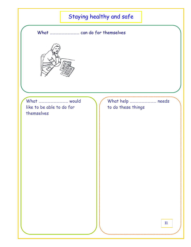## Staying healthy and safe

What ………………………… can do for themselves

![](_page_10_Picture_2.jpeg)

What ………………………… would like to be able to do for themselves

What help ……………………… needs to do these things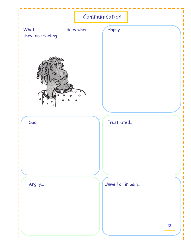![](_page_11_Figure_0.jpeg)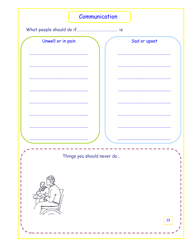![](_page_12_Figure_0.jpeg)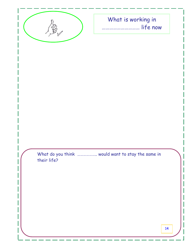![](_page_13_Picture_0.jpeg)

## What is working in ………………………… life now

What do you think ……………….. would want to stay the same in their life?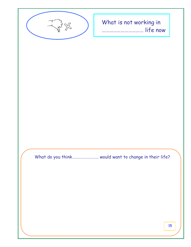![](_page_14_Picture_0.jpeg)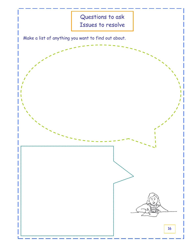![](_page_15_Figure_0.jpeg)